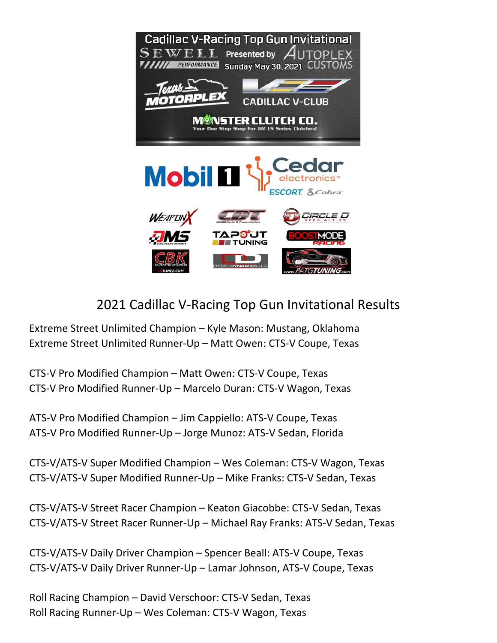



## 2021 Cadillac V-Racing Top Gun Invitational Results

Extreme Street Unlimited Champion – Kyle Mason: Mustang, Oklahoma Extreme Street Unlimited Runner-Up – Matt Owen: CTS-V Coupe, Texas

CTS-V Pro Modified Champion – Matt Owen: CTS-V Coupe, Texas CTS-V Pro Modified Runner-Up – Marcelo Duran: CTS-V Wagon, Texas

ATS-V Pro Modified Champion – Jim Cappiello: ATS-V Coupe, Texas ATS-V Pro Modified Runner-Up – Jorge Munoz: ATS-V Sedan, Florida

CTS-V/ATS-V Super Modified Champion – Wes Coleman: CTS-V Wagon, Texas CTS-V/ATS-V Super Modified Runner-Up – Mike Franks: CTS-V Sedan, Texas

CTS-V/ATS-V Street Racer Champion – Keaton Giacobbe: CTS-V Sedan, Texas CTS-V/ATS-V Street Racer Runner-Up – Michael Ray Franks: ATS-V Sedan, Texas

CTS-V/ATS-V Daily Driver Champion – Spencer Beall: ATS-V Coupe, Texas CTS-V/ATS-V Daily Driver Runner-Up – Lamar Johnson, ATS-V Coupe, Texas

Roll Racing Champion – David Verschoor: CTS-V Sedan, Texas Roll Racing Runner-Up – Wes Coleman: CTS-V Wagon, Texas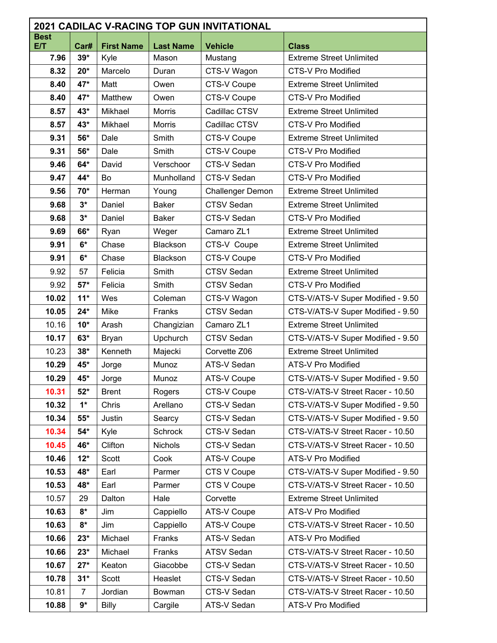| <b>2021 CADILAC V-RACING TOP GUN INVITATIONAL</b> |                      |                   |                  |                         |                                   |  |  |  |
|---------------------------------------------------|----------------------|-------------------|------------------|-------------------------|-----------------------------------|--|--|--|
| <b>Best</b><br>E/T                                | Car#                 | <b>First Name</b> | <b>Last Name</b> | <b>Vehicle</b>          | <b>Class</b>                      |  |  |  |
| 7.96                                              | $39*$                | Kyle              | Mason            | Mustang                 | <b>Extreme Street Unlimited</b>   |  |  |  |
| 8.32                                              | $20*$                | Marcelo           | Duran            | CTS-V Wagon             | <b>CTS-V Pro Modified</b>         |  |  |  |
| 8.40                                              | 47*                  | Matt              | Owen             | CTS-V Coupe             | <b>Extreme Street Unlimited</b>   |  |  |  |
| 8.40                                              | 47*                  | Matthew           | Owen             | CTS-V Coupe             | CTS-V Pro Modified                |  |  |  |
| 8.57                                              | 43*                  | Mikhael           | Morris           | Cadillac CTSV           | <b>Extreme Street Unlimited</b>   |  |  |  |
| 8.57                                              | 43*                  | Mikhael           | <b>Morris</b>    | Cadillac CTSV           | <b>CTS-V Pro Modified</b>         |  |  |  |
| 9.31                                              | 56*                  | Dale              | Smith            | CTS-V Coupe             | <b>Extreme Street Unlimited</b>   |  |  |  |
| 9.31                                              | 56*                  | Dale              | Smith            | CTS-V Coupe             | CTS-V Pro Modified                |  |  |  |
| 9.46                                              | 64*                  | David             | Verschoor        | CTS-V Sedan             | <b>CTS-V Pro Modified</b>         |  |  |  |
| 9.47                                              | 44*                  | Bo                | Munholland       | CTS-V Sedan             | CTS-V Pro Modified                |  |  |  |
| 9.56                                              | 70*                  | Herman            | Young            | <b>Challenger Demon</b> | <b>Extreme Street Unlimited</b>   |  |  |  |
| 9.68                                              | $3*$                 | Daniel            | <b>Baker</b>     | CTSV Sedan              | <b>Extreme Street Unlimited</b>   |  |  |  |
| 9.68                                              | $3^*$                | Daniel            | <b>Baker</b>     | CTS-V Sedan             | CTS-V Pro Modified                |  |  |  |
| 9.69                                              | 66*                  | Ryan              | Weger            | Camaro ZL1              | <b>Extreme Street Unlimited</b>   |  |  |  |
| 9.91                                              | $6*$                 | Chase             | Blackson         | CTS-V Coupe             | <b>Extreme Street Unlimited</b>   |  |  |  |
| 9.91                                              | $6*$                 | Chase             | <b>Blackson</b>  | CTS-V Coupe             | <b>CTS-V Pro Modified</b>         |  |  |  |
| 9.92                                              | 57                   | Felicia           | Smith            | <b>CTSV Sedan</b>       | <b>Extreme Street Unlimited</b>   |  |  |  |
| 9.92                                              | $57*$                | Felicia           | Smith            | <b>CTSV Sedan</b>       | <b>CTS-V Pro Modified</b>         |  |  |  |
| 10.02                                             | $11*$                | Wes               | Coleman          | CTS-V Wagon             | CTS-V/ATS-V Super Modified - 9.50 |  |  |  |
| 10.05                                             | $24*$                | Mike              | Franks           | <b>CTSV Sedan</b>       | CTS-V/ATS-V Super Modified - 9.50 |  |  |  |
| 10.16                                             | $10*$                | Arash             | Changizian       | Camaro ZL1              | <b>Extreme Street Unlimited</b>   |  |  |  |
| 10.17                                             | $63*$                | <b>Bryan</b>      | Upchurch         | <b>CTSV Sedan</b>       | CTS-V/ATS-V Super Modified - 9.50 |  |  |  |
| 10.23                                             | $38*$                | Kenneth           | Majecki          | Corvette Z06            | <b>Extreme Street Unlimited</b>   |  |  |  |
| 10.29                                             | 45*                  | Jorge             | Munoz            | ATS-V Sedan             | ATS-V Pro Modified                |  |  |  |
| 10.29                                             | 45*                  | Jorge             | Munoz            | <b>ATS-V Coupe</b>      | CTS-V/ATS-V Super Modified - 9.50 |  |  |  |
| 10.31                                             | $52*$                | <b>Brent</b>      | Rogers           | CTS-V Coupe             | CTS-V/ATS-V Street Racer - 10.50  |  |  |  |
| 10.32                                             | $1*$                 | Chris             | Arellano         | CTS-V Sedan             | CTS-V/ATS-V Super Modified - 9.50 |  |  |  |
| 10.34                                             | $55*$                | Justin            | Searcy           | CTS-V Sedan             | CTS-V/ATS-V Super Modified - 9.50 |  |  |  |
| 10.34                                             | $54*$                | Kyle              | Schrock          | CTS-V Sedan             | CTS-V/ATS-V Street Racer - 10.50  |  |  |  |
| 10.45                                             | 46*                  | Clifton           | Nichols          | CTS-V Sedan             | CTS-V/ATS-V Street Racer - 10.50  |  |  |  |
| 10.46                                             | $12*$                | Scott             | Cook             | <b>ATS-V Coupe</b>      | ATS-V Pro Modified                |  |  |  |
| 10.53                                             | 48*                  | Earl              | Parmer           | CTS V Coupe             | CTS-V/ATS-V Super Modified - 9.50 |  |  |  |
| 10.53                                             | 48*                  | Earl              | Parmer           | CTS V Coupe             | CTS-V/ATS-V Street Racer - 10.50  |  |  |  |
| 10.57                                             | 29                   | Dalton            | Hale             | Corvette                | <b>Extreme Street Unlimited</b>   |  |  |  |
| 10.63                                             | $8*$                 | Jim               | Cappiello        | <b>ATS-V Coupe</b>      | ATS-V Pro Modified                |  |  |  |
| 10.63                                             | $8*$                 | Jim               | Cappiello        | <b>ATS-V Coupe</b>      | CTS-V/ATS-V Street Racer - 10.50  |  |  |  |
| 10.66                                             | $23*$                | Michael           | Franks           | ATS-V Sedan             | ATS-V Pro Modified                |  |  |  |
| 10.66                                             | $23*$                | Michael           | Franks           | <b>ATSV Sedan</b>       | CTS-V/ATS-V Street Racer - 10.50  |  |  |  |
| 10.67                                             | $27*$                | Keaton            | Giacobbe         | CTS-V Sedan             | CTS-V/ATS-V Street Racer - 10.50  |  |  |  |
| 10.78                                             | $31*$                | Scott             | Heaslet          | CTS-V Sedan             | CTS-V/ATS-V Street Racer - 10.50  |  |  |  |
| 10.81                                             | $\overline{7}$       | Jordian           | Bowman           | CTS-V Sedan             | CTS-V/ATS-V Street Racer - 10.50  |  |  |  |
| 10.88                                             | $\mathbf{9}^{\star}$ | Billy             | Cargile          | ATS-V Sedan             | ATS-V Pro Modified                |  |  |  |